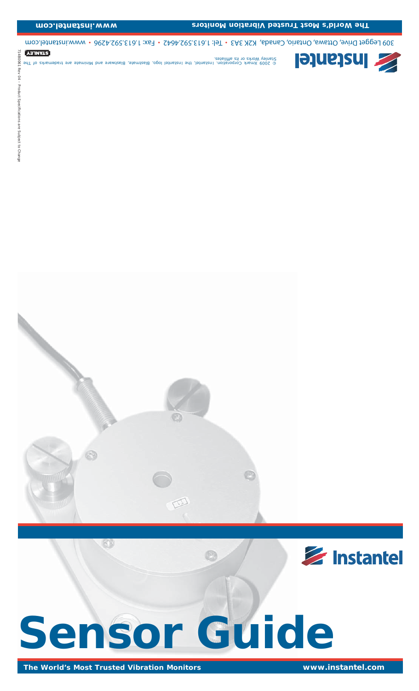# **Sensor Guide**

 $\bigoplus$ 

714B0061 Rev 04 – Product Speci

190081 Kev ė

fi cations are Subject to Change

Product Specifications are Subject to Change

 $\sqrt{\phantom{a}}$ 

*© 2009 Xmark Corporation. Instantel, the Instantel logo, Blastmate, Blastware and Minimate are trademarks of The liates. fi Stanley Works or its af*

309 Legget Drive, Ottawa, Ontario, Oinada, K2K 3A3 • Tel: 1.613.592.426 • Sex: 1.612.592.4296 • www.instantel.com